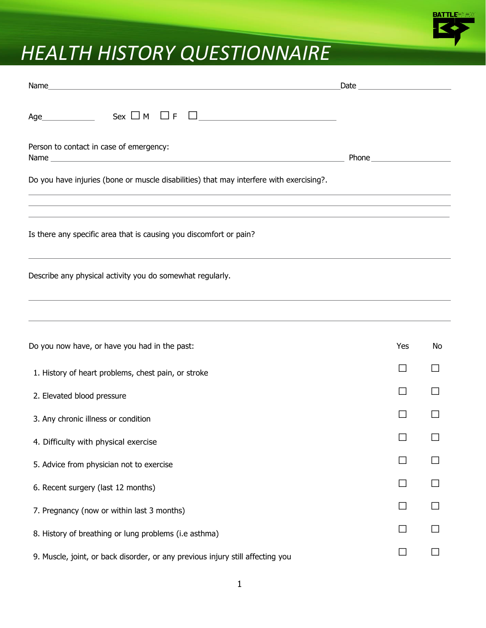

## *HEALTH HISTORY QUESTIONNAIRE*

| Age $\qquad \qquad \qquad$ Sex $\Box$ M $\Box$ F<br><u> 1980 - Andrea Station Barbara, amerikan per</u>                                                                                                                                                                                                   |     |    |
|-----------------------------------------------------------------------------------------------------------------------------------------------------------------------------------------------------------------------------------------------------------------------------------------------------------|-----|----|
| Person to contact in case of emergency:                                                                                                                                                                                                                                                                   |     |    |
| Do you have injuries (bone or muscle disabilities) that may interfere with exercising?.<br>,我们也不会有什么。""我们的人,我们也不会有什么?""我们的人,我们也不会有什么?""我们的人,我们也不会有什么?""我们的人,我们也不会有什么?""我们的人                                                                                                                               |     |    |
| ,我们也不能在这里的时候,我们也不能在这里的时候,我们也不能会不能会不能会不能会不能会不能会不能会不能会不能会不能会。<br>第2012章 我们的时候,我们的时候,我们的时候,我们的时候,我们的时候,我们的时候,我们的时候,我们的时候,我们的时候,我们的时候,我们的时候,我们的时候,我<br>,我们也不会有什么。""我们的人,我们也不会有什么?""我们的人,我们也不会有什么?""我们的人,我们也不会有什么?""我们的人,我们也不会有什么?""我们的人<br>Is there any specific area that is causing you discomfort or pain? |     |    |
| Describe any physical activity you do somewhat regularly.                                                                                                                                                                                                                                                 |     |    |
|                                                                                                                                                                                                                                                                                                           |     |    |
| Do you now have, or have you had in the past:                                                                                                                                                                                                                                                             | Yes | No |
| 1. History of heart problems, chest pain, or stroke                                                                                                                                                                                                                                                       |     |    |
| 2. Elevated blood pressure                                                                                                                                                                                                                                                                                |     |    |
| 3. Any chronic illness or condition                                                                                                                                                                                                                                                                       |     |    |
| 4. Difficulty with physical exercise                                                                                                                                                                                                                                                                      |     |    |
| 5. Advice from physician not to exercise                                                                                                                                                                                                                                                                  |     |    |
| 6. Recent surgery (last 12 months)                                                                                                                                                                                                                                                                        |     |    |
| 7. Pregnancy (now or within last 3 months)                                                                                                                                                                                                                                                                |     |    |
| 8. History of breathing or lung problems (i.e asthma)                                                                                                                                                                                                                                                     |     |    |
| 9. Muscle, joint, or back disorder, or any previous injury still affecting you                                                                                                                                                                                                                            |     |    |